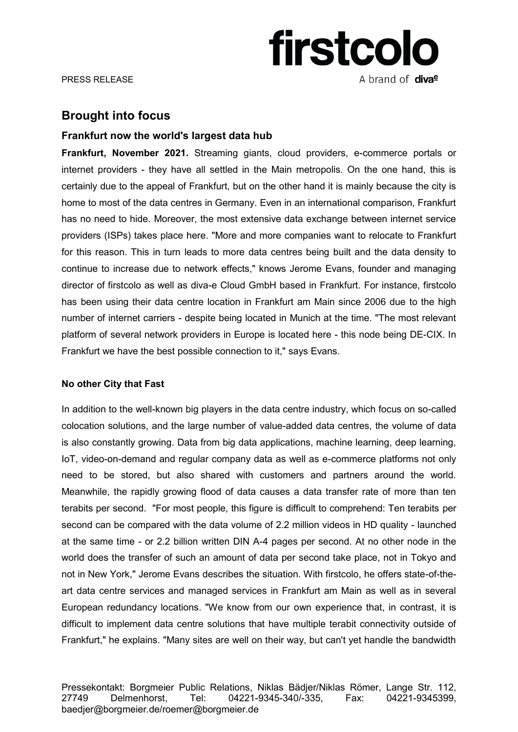# **firstcolo** A brand of **diva<sup>e</sup>**

# **Brought into focus**

## **Frankfurt now the world's largest data hub**

**Frankfurt, November 2021.** Streaming giants, cloud providers, e-commerce portals or internet providers - they have all settled in the Main metropolis. On the one hand, this is certainly due to the appeal of Frankfurt, but on the other hand it is mainly because the city is home to most of the data centres in Germany. Even in an international comparison, Frankfurt has no need to hide. Moreover, the most extensive data exchange between internet service providers (ISPs) takes place here. "More and more companies want to relocate to Frankfurt for this reason. This in turn leads to more data centres being built and the data density to continue to increase due to network effects," knows Jerome Evans, founder and managing director of firstcolo as well as diva-e Cloud GmbH based in Frankfurt. For instance, firstcolo has been using their data centre location in Frankfurt am Main since 2006 due to the high number of internet carriers - despite being located in Munich at the time. "The most relevant platform of several network providers in Europe is located here - this node being DE-CIX. In Frankfurt we have the best possible connection to it," says Evans.

### **No other City that Fast**

In addition to the well-known big players in the data centre industry, which focus on so-called colocation solutions, and the large number of value-added data centres, the volume of data is also constantly growing. Data from big data applications, machine learning, deep learning, IoT, video-on-demand and regular company data as well as e-commerce platforms not only need to be stored, but also shared with customers and partners around the world. Meanwhile, the rapidly growing flood of data causes a data transfer rate of more than ten terabits per second. "For most people, this figure is difficult to comprehend: Ten terabits per second can be compared with the data volume of 2.2 million videos in HD quality - launched at the same time - or 2.2 billion written DIN A-4 pages per second. At no other node in the world does the transfer of such an amount of data per second take place, not in Tokyo and not in New York," Jerome Evans describes the situation. With firstcolo, he offers state-of-theart data centre services and managed services in Frankfurt am Main as well as in several European redundancy locations. "We know from our own experience that, in contrast, it is difficult to implement data centre solutions that have multiple terabit connectivity outside of Frankfurt," he explains. "Many sites are well on their way, but can't yet handle the bandwidth

Pressekontakt: Borgmeier Public Relations, Niklas Bädjer/Niklas Römer, Lange Str. 112, 27749 Delmenhorst, Tel: 04221-9345-340/-335, Fax: 04221-9345399, baedjer@borgmeier.de/roemer@borgmeier.de